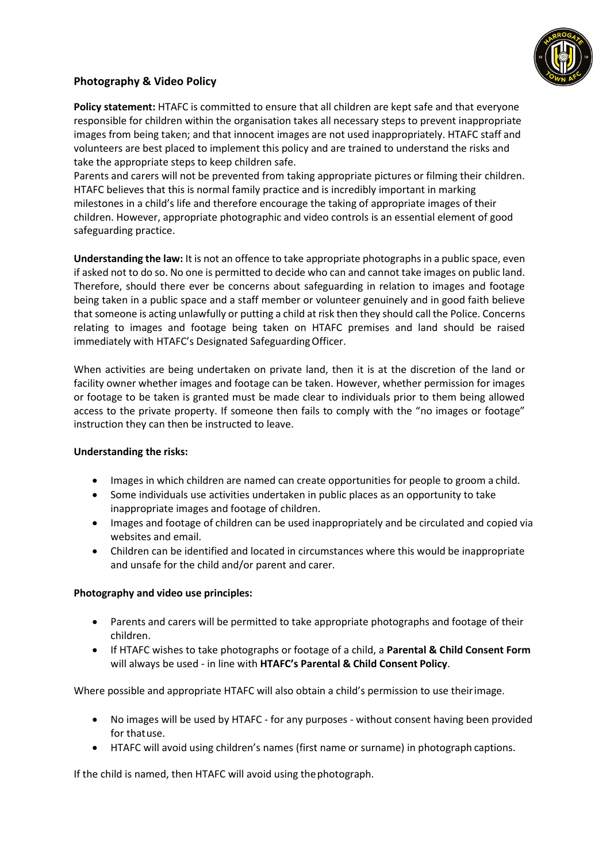

## **Photography & Video Policy**

**Policy statement:** HTAFC is committed to ensure that all children are kept safe and that everyone responsible for children within the organisation takes all necessary steps to prevent inappropriate images from being taken; and that innocent images are not used inappropriately. HTAFC staff and volunteers are best placed to implement this policy and are trained to understand the risks and take the appropriate steps to keep children safe.

Parents and carers will not be prevented from taking appropriate pictures or filming their children. HTAFC believes that this is normal family practice and is incredibly important in marking milestones in a child's life and therefore encourage the taking of appropriate images of their children. However, appropriate photographic and video controls is an essential element of good safeguarding practice.

**Understanding the law:** It is not an offence to take appropriate photographs in a public space, even if asked not to do so. No one is permitted to decide who can and cannot take images on public land. Therefore, should there ever be concerns about safeguarding in relation to images and footage being taken in a public space and a staff member or volunteer genuinely and in good faith believe that someone is acting unlawfully or putting a child at risk then they should call the Police. Concerns relating to images and footage being taken on HTAFC premises and land should be raised immediately with HTAFC's Designated SafeguardingOfficer.

When activities are being undertaken on private land, then it is at the discretion of the land or facility owner whether images and footage can be taken. However, whether permission for images or footage to be taken is granted must be made clear to individuals prior to them being allowed access to the private property. If someone then fails to comply with the "no images or footage" instruction they can then be instructed to leave.

## **Understanding the risks:**

- Images in which children are named can create opportunities for people to groom a child.
- Some individuals use activities undertaken in public places as an opportunity to take inappropriate images and footage of children.
- Images and footage of children can be used inappropriately and be circulated and copied via websites and email.
- Children can be identified and located in circumstances where this would be inappropriate and unsafe for the child and/or parent and carer.

## **Photography and video use principles:**

- Parents and carers will be permitted to take appropriate photographs and footage of their children.
- If HTAFC wishes to take photographs or footage of a child, a **Parental & Child Consent Form**  will always be used - in line with **HTAFC's Parental & Child Consent Policy**.

Where possible and appropriate HTAFC will also obtain a child's permission to use theirimage.

- No images will be used by HTAFC for any purposes without consent having been provided for thatuse.
- HTAFC will avoid using children's names (first name or surname) in photograph captions.

If the child is named, then HTAFC will avoid using thephotograph.